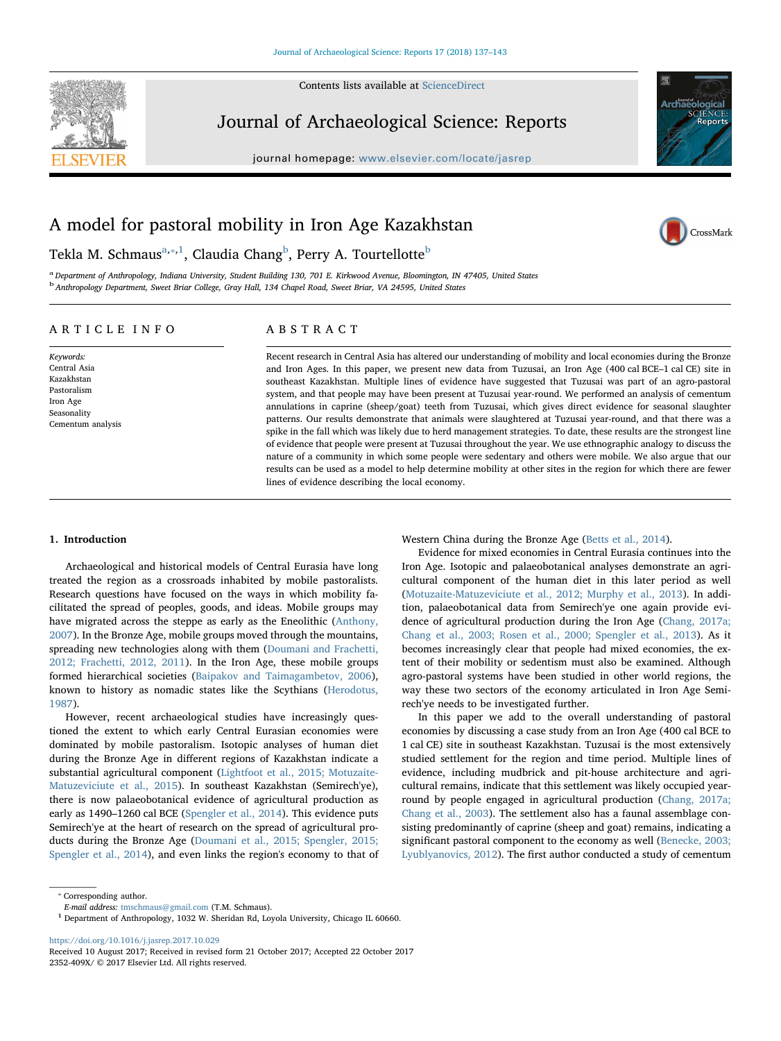

Contents lists available at [ScienceDirect](http://www.sciencedirect.com/science/journal/2352409X)

### Journal of Archaeological Science: Reports

journal homepage: [www.elsevier.com/locate/jasrep](https://www.elsevier.com/locate/jasrep)



CrossMark

## A model for pastoral mobility in Iron Age Kazakhstan

Tekla M. Schmaus $^{\mathrm{a},*,1}$ , Claudia Chang $^{\mathrm{b}}$ , Perry A. Tourtellotte $^{\mathrm{b}}$ 

a Department of Anthropology, Indiana University, Student Building 130, 701 E. Kirkwood Avenue, Bloomington, IN 47405, United States b Anthropology Department, Sweet Briar College, Gray Hall, 134 Chapel Road, Sweet Briar, VA 24595, United States

#### ARTICLE INFO

Keywords: Central Asia Kazakhstan Pastoralism Iron Age Seasonality Cementum analysis ABSTRACT

Recent research in Central Asia has altered our understanding of mobility and local economies during the Bronze and Iron Ages. In this paper, we present new data from Tuzusai, an Iron Age (400 cal BCE–1 cal CE) site in southeast Kazakhstan. Multiple lines of evidence have suggested that Tuzusai was part of an agro-pastoral system, and that people may have been present at Tuzusai year-round. We performed an analysis of cementum annulations in caprine (sheep/goat) teeth from Tuzusai, which gives direct evidence for seasonal slaughter patterns. Our results demonstrate that animals were slaughtered at Tuzusai year-round, and that there was a spike in the fall which was likely due to herd management strategies. To date, these results are the strongest line of evidence that people were present at Tuzusai throughout the year. We use ethnographic analogy to discuss the nature of a community in which some people were sedentary and others were mobile. We also argue that our results can be used as a model to help determine mobility at other sites in the region for which there are fewer lines of evidence describing the local economy.

#### 1. Introduction

Archaeological and historical models of Central Eurasia have long treated the region as a crossroads inhabited by mobile pastoralists. Research questions have focused on the ways in which mobility facilitated the spread of peoples, goods, and ideas. Mobile groups may have migrated across the steppe as early as the Eneolithic (Anthony, 2007). In the Bronze Age, mobile groups moved through the mountains, spreading new technologies along with them (Doumani and Frachetti, 2012; Frachetti, 2012, 2011). In the Iron Age, these mobile groups formed hierarchical societies (Baipakov and Taimagambetov, 2006), known to history as nomadic states like the Scythians (Herodotus, 1987).

However, recent archaeological studies have increasingly questioned the extent to which early Central Eurasian economies were dominated by mobile pastoralism. Isotopic analyses of human diet during the Bronze Age in different regions of Kazakhstan indicate a substantial agricultural component (Lightfoot et al., 2015; Motuzaite-Matuzeviciute et al., 2015). In southeast Kazakhstan (Semirech'ye), there is now palaeobotanical evidence of agricultural production as early as 1490–1260 cal BCE (Spengler et al., 2014). This evidence puts Semirech'ye at the heart of research on the spread of agricultural products during the Bronze Age (Doumani et al., 2015; Spengler, 2015; Spengler et al., 2014), and even links the region's economy to that of Western China during the Bronze Age (Betts et al., 2014).

Evidence for mixed economies in Central Eurasia continues into the Iron Age. Isotopic and palaeobotanical analyses demonstrate an agricultural component of the human diet in this later period as well (Motuzaite-Matuzeviciute et al., 2012; Murphy et al., 2013). In addition, palaeobotanical data from Semirech'ye one again provide evidence of agricultural production during the Iron Age (Chang, 2017a; Chang et al., 2003; Rosen et al., 2000; Spengler et al., 2013). As it becomes increasingly clear that people had mixed economies, the extent of their mobility or sedentism must also be examined. Although agro-pastoral systems have been studied in other world regions, the way these two sectors of the economy articulated in Iron Age Semirech'ye needs to be investigated further.

In this paper we add to the overall understanding of pastoral economies by discussing a case study from an Iron Age (400 cal BCE to 1 cal CE) site in southeast Kazakhstan. Tuzusai is the most extensively studied settlement for the region and time period. Multiple lines of evidence, including mudbrick and pit-house architecture and agricultural remains, indicate that this settlement was likely occupied yearround by people engaged in agricultural production (Chang, 2017a; Chang et al., 2003). The settlement also has a faunal assemblage consisting predominantly of caprine (sheep and goat) remains, indicating a significant pastoral component to the economy as well (Benecke, 2003; Lyublyanovics, 2012). The first author conducted a study of cementum

⁎ Corresponding author.

<https://doi.org/10.1016/j.jasrep.2017.10.029>

E-mail address: [tmschmaus@gmail.com](mailto:tmschmaus@gmail.com) (T.M. Schmaus).

<sup>1</sup> Department of Anthropology, 1032 W. Sheridan Rd, Loyola University, Chicago IL 60660.

Received 10 August 2017; Received in revised form 21 October 2017; Accepted 22 October 2017 2352-409X/ © 2017 Elsevier Ltd. All rights reserved.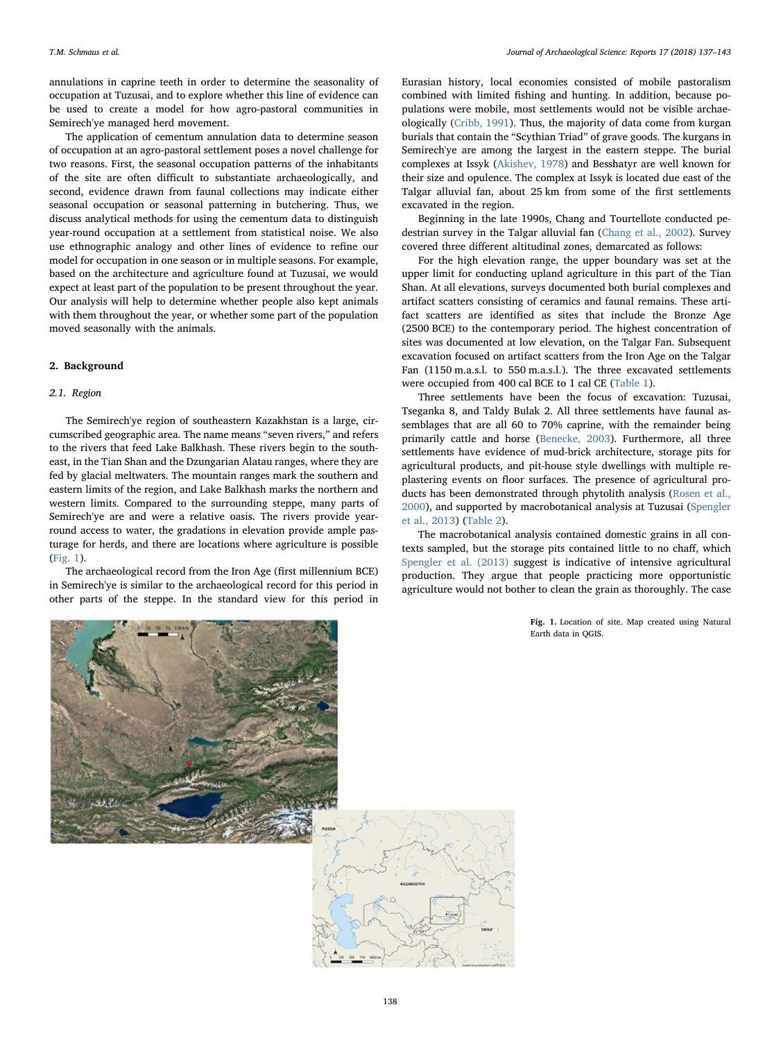annulations in caprine teeth in order to determine the seasonality of occupation at Tuzusai, and to explore whether this line of evidence can be used to create a model for how agro-pastoral communities in Semirech'ye managed herd movement.

The application of cementum annulation data to determine season of occupation at an agro-pastoral settlement poses a novel challenge for two reasons. First, the seasonal occupation patterns of the inhabitants of the site are often difficult to substantiate archaeologically, and second, evidence drawn from faunal collections may indicate either seasonal occupation or seasonal patterning in butchering. Thus, we discuss analytical methods for using the cementum data to distinguish year-round occupation at a settlement from statistical noise. We also use ethnographic analogy and other lines of evidence to refine our model for occupation in one season or in multiple seasons. For example, based on the architecture and agriculture found at Tuzusai, we would expect at least part of the population to be present throughout the year. Our analysis will help to determine whether people also kept animals with them throughout the year, or whether some part of the population moved seasonally with the animals.

#### 2. Background

#### 2.1. Region

The Semirech'ye region of southeastern Kazakhstan is a large, circumscribed geographic area. The name means "seven rivers," and refers to the rivers that feed Lake Balkhash. These rivers begin to the southeast, in the Tian Shan and the Dzungarian Alatau ranges, where they are fed by glacial meltwaters. The mountain ranges mark the southern and eastern limits of the region, and Lake Balkhash marks the northern and western limits. Compared to the surrounding steppe, many parts of Semirech'ye are and were a relative oasis. The rivers provide yearround access to water, the gradations in elevation provide ample pasturage for herds, and there are locations where agriculture is possible (Fig. 1).

The archaeological record from the Iron Age (first millennium BCE) in Semirech'ye is similar to the archaeological record for this period in other parts of the steppe. In the standard view for this period in

Eurasian history, local economies consisted of mobile pastoralism combined with limited fishing and hunting. In addition, because populations were mobile, most settlements would not be visible archaeologically (Cribb, 1991). Thus, the majority of data come from kurgan burials that contain the "Scythian Triad" of grave goods. The kurgans in Semirech'ye are among the largest in the eastern steppe. The burial complexes at Issyk (Akishev, 1978) and Besshatyr are well known for their size and opulence. The complex at Issyk is located due east of the Talgar alluvial fan, about 25 km from some of the first settlements excavated in the region.

Beginning in the late 1990s, Chang and Tourtellote conducted pedestrian survey in the Talgar alluvial fan (Chang et al., 2002). Survey covered three different altitudinal zones, demarcated as follows:

For the high elevation range, the upper boundary was set at the upper limit for conducting upland agriculture in this part of the Tian Shan. At all elevations, surveys documented both burial complexes and artifact scatters consisting of ceramics and faunal remains. These artifact scatters are identified as sites that include the Bronze Age (2500 BCE) to the contemporary period. The highest concentration of sites was documented at low elevation, on the Talgar Fan. Subsequent excavation focused on artifact scatters from the Iron Age on the Talgar Fan (1150 m.a.s.l. to 550 m.a.s.l.). The three excavated settlements were occupied from 400 cal BCE to 1 cal CE (Table 1).

Three settlements have been the focus of excavation: Tuzusai, Tseganka 8, and Taldy Bulak 2. All three settlements have faunal assemblages that are all 60 to 70% caprine, with the remainder being primarily cattle and horse (Benecke, 2003). Furthermore, all three settlements have evidence of mud-brick architecture, storage pits for agricultural products, and pit-house style dwellings with multiple replastering events on floor surfaces. The presence of agricultural products has been demonstrated through phytolith analysis (Rosen et al., 2000), and supported by macrobotanical analysis at Tuzusai (Spengler et al., 2013) (Table 2).

The macrobotanical analysis contained domestic grains in all contexts sampled, but the storage pits contained little to no chaff, which Spengler et al. (2013) suggest is indicative of intensive agricultural production. They argue that people practicing more opportunistic agriculture would not bother to clean the grain as thoroughly. The case

> Fig. 1. Location of site. Map created using Natural Earth data in QGIS.